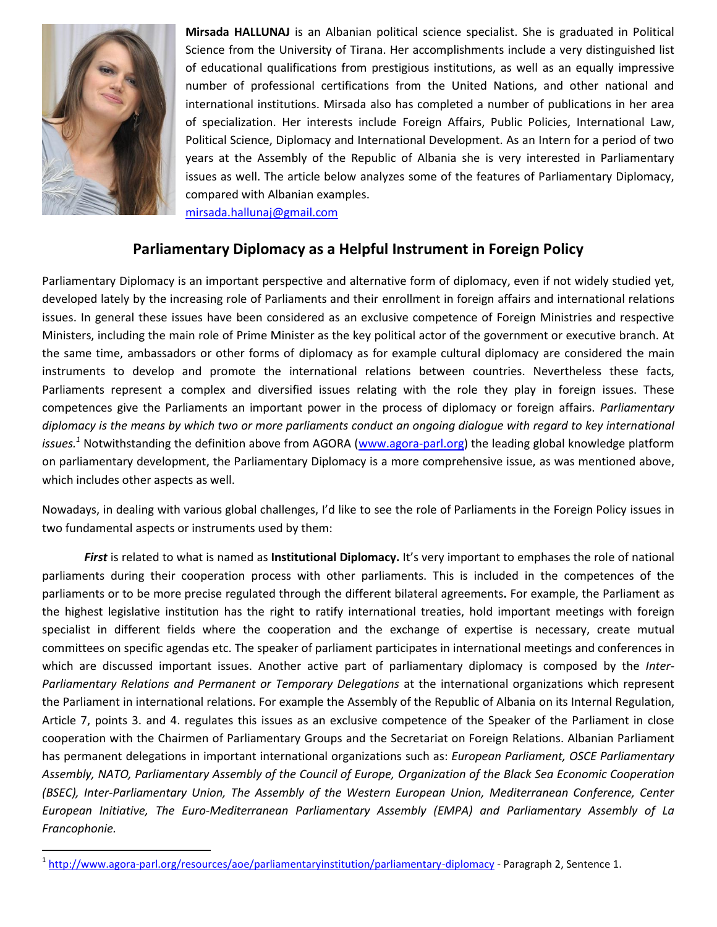

l

**Mirsada HALLUNAJ** is an Albanian political science specialist. She is graduated in Political Science from the University of Tirana. Her accomplishments include a very distinguished list of educational qualifications from prestigious institutions, as well as an equally impressive number of professional certifications from the United Nations, and other national and international institutions. Mirsada also has completed a number of publications in her area of specialization. Her interests include Foreign Affairs, Public Policies, International Law, Political Science, Diplomacy and International Development. As an Intern for a period of two years at the Assembly of the Republic of Albania she is very interested in Parliamentary issues as well. The article below analyzes some of the features of Parliamentary Diplomacy, compared with Albanian examples.

[mirsada.hallunaj@gmail.com](mailto:mirsada.hallunaj@gmail.com)

## **Parliamentary Diplomacy as a Helpful Instrument in Foreign Policy**

Parliamentary Diplomacy is an important perspective and alternative form of diplomacy, even if not widely studied yet, developed lately by the increasing role of Parliaments and their enrollment in foreign affairs and international relations issues. In general these issues have been considered as an exclusive competence of Foreign Ministries and respective Ministers, including the main role of Prime Minister as the key political actor of the government or executive branch. At the same time, ambassadors or other forms of diplomacy as for example cultural diplomacy are considered the main instruments to develop and promote the international relations between countries. Nevertheless these facts, Parliaments represent a complex and diversified issues relating with the role they play in foreign issues. These competences give the Parliaments an important power in the process of diplomacy or foreign affairs. *Parliamentary diplomacy is the means by which two or more parliaments conduct an ongoing dialogue with regard to key international issues.<sup>1</sup>* Notwithstanding the definition above from AGORA [\(www.agora-parl.org\)](http://www.agora-parl.org/) the leading global knowledge platform on parliamentary development, the Parliamentary Diplomacy is a more comprehensive issue, as was mentioned above, which includes other aspects as well.

Nowadays, in dealing with various global challenges, I'd like to see the role of Parliaments in the Foreign Policy issues in two fundamental aspects or instruments used by them:

*First* is related to what is named as **Institutional Diplomacy.** It's very important to emphases the role of national parliaments during their cooperation process with other parliaments. This is included in the competences of the parliaments or to be more precise regulated through the different bilateral agreements**.** For example, the Parliament as the highest legislative institution has the right to ratify international treaties, hold important meetings with foreign specialist in different fields where the cooperation and the exchange of expertise is necessary, create mutual committees on specific agendas etc. The speaker of parliament participates in international meetings and conferences in which are discussed important issues. Another active part of parliamentary diplomacy is composed by the *Inter-Parliamentary Relations and Permanent or Temporary Delegations* at the international organizations which represent the Parliament in international relations. For example the Assembly of the Republic of Albania on its Internal Regulation, Article 7, points 3. and 4. regulates this issues as an exclusive competence of the Speaker of the Parliament in close cooperation with the Chairmen of Parliamentary Groups and the Secretariat on Foreign Relations. Albanian Parliament has permanent delegations in important international organizations such as: *European Parliament, OSCE Parliamentary Assembly, NATO, Parliamentary Assembly of the Council of Europe, Organization of the Black Sea Economic Cooperation (BSEC), Inter-Parliamentary Union, The Assembly of the Western European Union, Mediterranean Conference, Center European Initiative, The Euro-Mediterranean Parliamentary Assembly (EMPA) and Parliamentary Assembly of La Francophonie.*

<sup>&</sup>lt;sup>1</sup> <http://www.agora-parl.org/resources/aoe/parliamentaryinstitution/parliamentary-diplomacy></u> - Paragraph 2, Sentence 1.